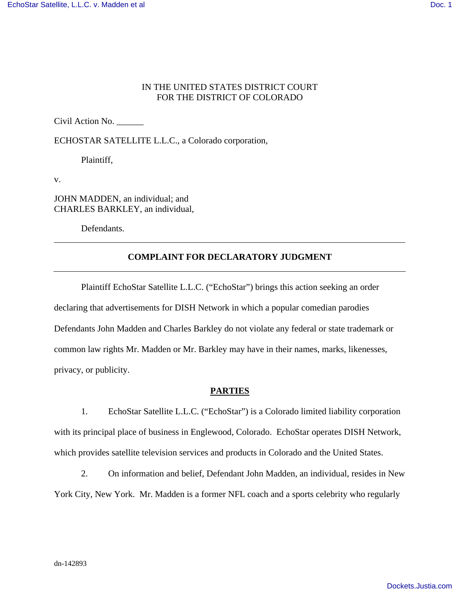# IN THE UNITED STATES DISTRICT COURT FOR THE DISTRICT OF COLORADO

Civil Action No. \_\_\_\_\_\_

ECHOSTAR SATELLITE L.L.C., a Colorado corporation,

Plaintiff, the contract of the contract of the contract of the contract of the contract of the contract of the contract of the contract of the contract of the contract of the contract of the contract of the contract of the

v.

JOHN MADDEN, an individual; and CHARLES BARKLEY, an individual,

Defendants.

# **COMPLAINT FOR DECLARATORY JUDGMENT**

Plaintiff EchoStar Satellite L.L.C. ("EchoStar") brings this action seeking an order declaring that advertisements for DISH Network in which a popular comedian parodies Defendants John Madden and Charles Barkley do not violate any federal or state trademark or common law rights Mr. Madden or Mr. Barkley may have in their names, marks, likenesses, privacy, or publicity.

### **PARTIES**

1. EchoStar Satellite L.L.C. ("EchoStar") is a Colorado limited liability corporation with its principal place of business in Englewood, Colorado. EchoStar operates DISH Network, which provides satellite television services and products in Colorado and the United States.

2. On information and belief, Defendant John Madden, an individual, resides in New York City, New York. Mr. Madden is a former NFL coach and a sports celebrity who regularly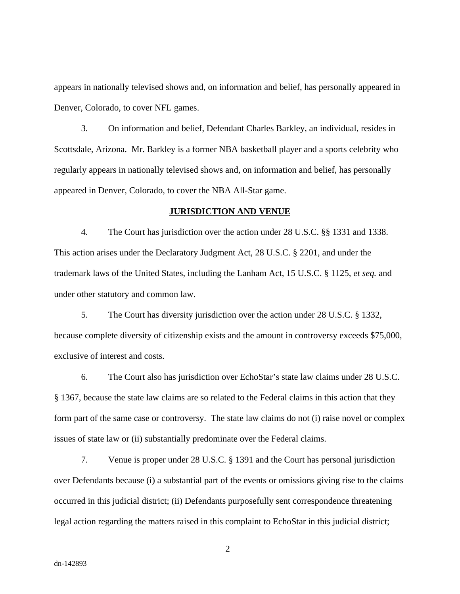appears in nationally televised shows and, on information and belief, has personally appeared in Denver, Colorado, to cover NFL games. 3. On information and belief, Defendant Charles Barkley, an individual, resides in

Scottsdale, Arizona. Mr. Barkley is a former NBA basketball player and a sports celebrity who regularly appears in nationally televised shows and, on information and belief, has personally appeared in Denver, Colorado, to cover the NBA All-Star game.

#### **JURISDICTION AND VENUE**

4. The Court has jurisdiction over the action under 28 U.S.C. §§ 1331 and 1338. This action arises under the Declaratory Judgment Act, 28 U.S.C. § 2201, and under the trademark laws of the United States, including the Lanham Act, 15 U.S.C. § 1125, *et seq.* and under other statutory and common law.<br>5. The Court has diversity jurisdiction over the action under 28 U.S.C. § 1332,

because complete diversity of citizenship exists and the amount in controversy exceeds \$75,000, exclusive of interest and costs.

6. The Court also has jurisdiction over EchoStar's state law claims under 28 U.S.C. § 1367, because the state law claims are so related to the Federal claims in this action that they form part of the same case or controversy. The state law claims do not (i) raise novel or complex issues of state law or (ii) substantially predominate over the Federal claims.

7. Venue is proper under 28 U.S.C. § 1391 and the Court has personal jurisdiction over Defendants because (i) a substantial part of the events or omissions giving rise to the claims occurred in this judicial district; (ii) Defendants purposefully sent correspondence threatening legal action regarding the matters raised in this complaint to EchoStar in this judicial district;

2 a set of  $\sim$  2 a set of  $\sim$  2 a set of  $\sim$  2 a set of  $\sim$  3 a set of  $\sim$  3 a set of  $\sim$  3 a set of  $\sim$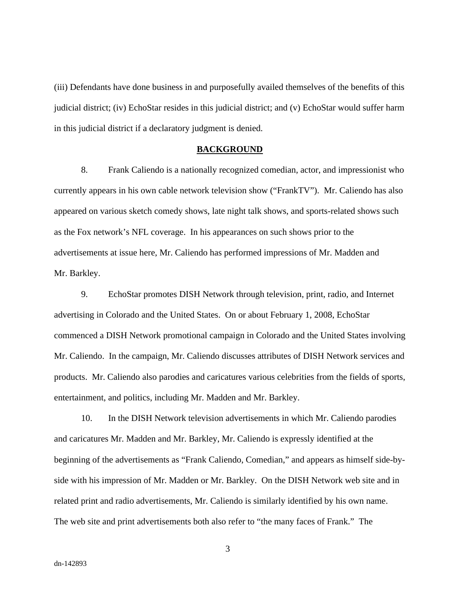(iii) Defendants have done business in and purposefully availed themselves of the benefits of this judicial district; (iv) EchoStar resides in this judicial district; and (v) EchoStar would suffer harm in this judicial district if a declaratory judgment is denied.

#### **BACKGROUND**

8. Frank Caliendo is a nationally recognized comedian, actor, and impressionist who currently appears in his own cable network television show ("FrankTV"). Mr. Caliendo has also appeared on various sketch comedy shows, late night talk shows, and sports-related shows such as the Fox network's NFL coverage. In his appearances on such shows prior to the advertisements at issue here, Mr. Caliendo has performed impressions of Mr. Madden and Mr. Barkley.

9. EchoStar promotes DISH Network through television, print, radio, and Internet advertising in Colorado and the United States. On or about February 1, 2008, EchoStar commenced a DISH Network promotional campaign in Colorado and the United States involving Mr. Caliendo. In the campaign, Mr. Caliendo discusses attributes of DISH Network services and products. Mr. Caliendo also parodies and caricatures various celebrities from the fields of sports, entertainment, and politics, including Mr. Madden and Mr. Barkley.

10. In the DISH Network television advertisements in which Mr. Caliendo parodies and caricatures Mr. Madden and Mr. Barkley, Mr. Caliendo is expressly identified at the beginning of the advertisements as "Frank Caliendo, Comedian," and appears as himself side-by side with his impression of Mr. Madden or Mr. Barkley. On the DISH Network web site and in related print and radio advertisements, Mr. Caliendo is similarly identified by his own name. The web site and print advertisements both also refer to "the many faces of Frank." The

3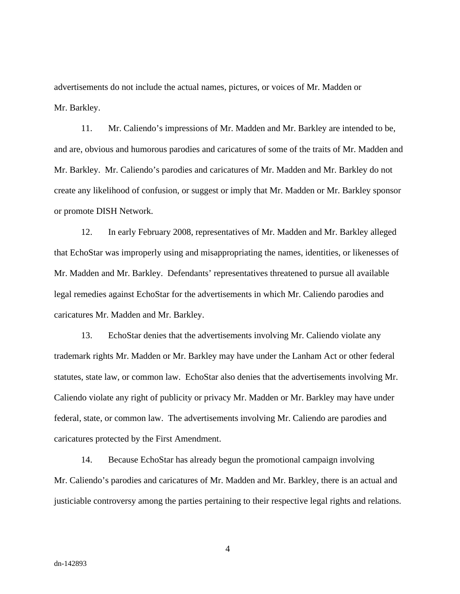advertisements do not include the actual names, pictures, or voices of Mr. Madden or

Mr. Barkley.<br>11. Mr. Caliendo's impressions of Mr. Madden and Mr. Barkley are intended to be,<br>and are, obvious and humorous parodies and caricatures of some of the traits of Mr. Madden and Mr. Barkley. Mr. Caliendo's parodies and caricatures of Mr. Madden and Mr. Barkley do not create any likelihood of confusion, or suggest or imply that Mr. Madden or Mr. Barkley sponsor or promote DISH Network.

12. In early February 2008, representatives of Mr. Madden and Mr. Barkley alleged that EchoStar was improperly using and misappropriating the names, identities, or likenesses of Mr. Madden and Mr. Barkley. Defendants' representatives threatened to pursue all available legal remedies against EchoStar for the advertisements in which Mr. Caliendo parodies and caricatures Mr. Madden and Mr. Barkley.

13. EchoStar denies that the advertisements involving Mr. Caliendo violate any trademark rights Mr. Madden or Mr. Barkley may have under the Lanham Act or other federal statutes, state law, or common law. EchoStar also denies that the advertisements involving Mr. Caliendo violate any right of publicity or privacy Mr. Madden or Mr. Barkley may have under federal, state, or common law. The advertisements involving Mr. Caliendo are parodies and caricatures protected by the First Amendment. 14. Because EchoStar has already begun the promotional campaign involving

Mr. Caliendo's parodies and caricatures of Mr. Madden and Mr. Barkley, there is an actual and justiciable controversy among the parties pertaining to their respective legal rights and relations.

4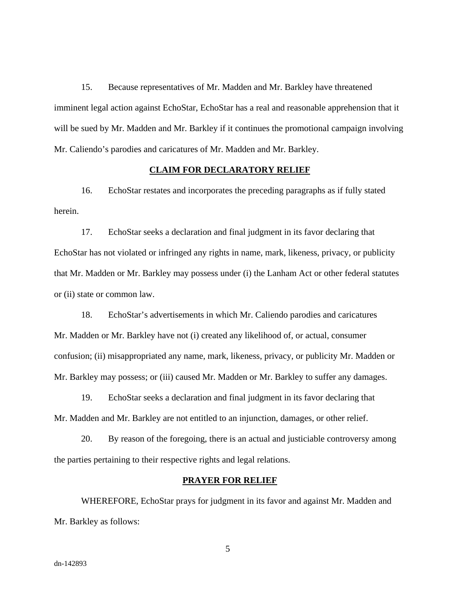15. Because representatives of Mr. Madden and Mr. Barkley have threatened imminent legal action against EchoStar, EchoStar has a real and reasonable apprehension that it will be sued by Mr. Madden and Mr. Barkley if it continues the promotional campaign involving Mr. Caliendo's parodies and caricatures of Mr. Madden and Mr. Barkley.

#### **CLAIM FOR DECLARATORY RELIEF**

16. EchoStar restates and incorporates the preceding paragraphs as if fully stated herein.

17. EchoStar seeks a declaration and final judgment in its favor declaring that EchoStar has not violated or infringed any rights in name, mark, likeness, privacy, or publicity that Mr. Madden or Mr. Barkley may possess under (i) the Lanham Act or other federal statutes or (ii) state or common law.

18. EchoStar's advertisements in which Mr. Caliendo parodies and caricatures Mr. Madden or Mr. Barkley have not (i) created any likelihood of, or actual, consumer confusion; (ii) misappropriated any name, mark, likeness, privacy, or publicity Mr. Madden or Mr. Barkley may possess; or (iii) caused Mr. Madden or Mr. Barkley to suffer any damages.

19. EchoStar seeks a declaration and final judgment in its favor declaring that Mr. Madden and Mr. Barkley are not entitled to an injunction, damages, or other relief.

20. By reason of the foregoing, there is an actual and justiciable controversy among the parties pertaining to their respective rights and legal relations.

#### **PRAYER FOR RELIEF**

WHEREFORE, EchoStar prays for judgment in its favor and against Mr. Madden and Mr. Barkley as follows:

 $5<sub>5</sub>$